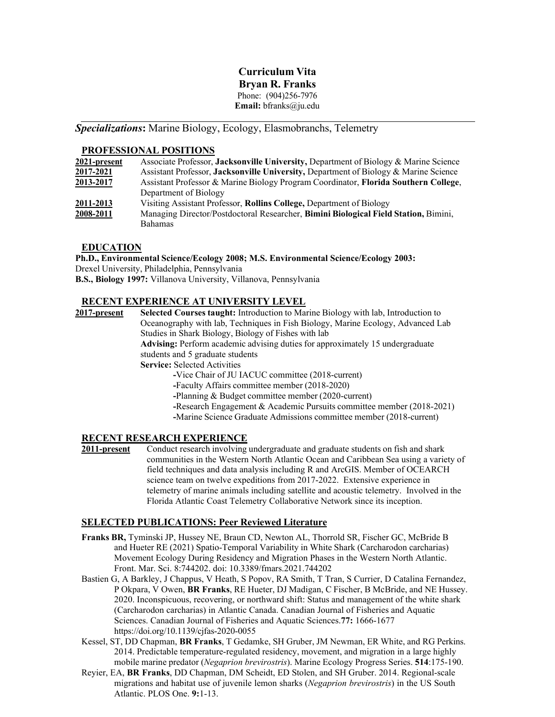# **Curriculum Vita Bryan R. Franks** Phone: (904)256-7976 **Email:** [bfranks@ju.edu](mailto:bfranks@ju.edu)

*Specializations***:** Marine Biology, Ecology, Elasmobranchs, Telemetry

#### **PROFESSIONAL POSITIONS**

| 2021-present | Associate Professor, Jacksonville University, Department of Biology & Marine Science |
|--------------|--------------------------------------------------------------------------------------|
| 2017-2021    | Assistant Professor, Jacksonville University, Department of Biology & Marine Science |
| 2013-2017    | Assistant Professor & Marine Biology Program Coordinator, Florida Southern College,  |
|              | Department of Biology                                                                |
| 2011-2013    | Visiting Assistant Professor, Rollins College, Department of Biology                 |
| 2008-2011    | Managing Director/Postdoctoral Researcher, Bimini Biological Field Station, Bimini,  |
|              | <b>Bahamas</b>                                                                       |

### **EDUCATION**

**Ph.D., Environmental Science/Ecology 2008; M.S. Environmental Science/Ecology 2003:** Drexel University, Philadelphia, Pennsylvania **B.S., Biology 1997:** Villanova University, Villanova, Pennsylvania

# **RECENT EXPERIENCE AT UNIVERSITY LEVEL**

**2017-present Selected Courses taught:** Introduction to Marine Biology with lab, Introduction to Oceanography with lab, Techniques in Fish Biology, Marine Ecology, Advanced Lab Studies in Shark Biology, Biology of Fishes with lab **Advising:** Perform academic advising duties for approximately 15 undergraduate students and 5 graduate students **Service:** Selected Activities **-**Vice Chair of JU IACUC committee (2018-current) **-**Faculty Affairs committee member (2018-2020)

**-**Planning & Budget committee member (2020-current)

**-**Research Engagement & Academic Pursuits committee member (2018-2021)

**-**Marine Science Graduate Admissions committee member (2018-current)

# **RECENT RESEARCH EXPERIENCE**<br>**2011-present** Conduct research involving

Conduct research involving undergraduate and graduate students on fish and shark communities in the Western North Atlantic Ocean and Caribbean Sea using a variety of field techniques and data analysis including R and ArcGIS. Member of OCEARCH science team on twelve expeditions from 2017-2022. Extensive experience in telemetry of marine animals including satellite and acoustic telemetry. Involved in the Florida Atlantic Coast Telemetry Collaborative Network since its inception.

## **SELECTED PUBLICATIONS: Peer Reviewed Literature**

- **Franks BR,** Tyminski JP, Hussey NE, Braun CD, Newton AL, Thorrold SR, Fischer GC, McBride B and Hueter RE (2021) Spatio-Temporal Variability in White Shark (Carcharodon carcharias) Movement Ecology During Residency and Migration Phases in the Western North Atlantic. Front. Mar. Sci. 8:744202. doi: 10.3389/fmars.2021.744202
- Bastien G, A Barkley, J Chappus, V Heath, S Popov, RA Smith, T Tran, S Currier, D Catalina Fernandez, P Okpara, V Owen, **BR Franks**, RE Hueter, DJ Madigan, C Fischer, B McBride, and NE Hussey. 2020. Inconspicuous, recovering, or northward shift: Status and management of the white shark (Carcharodon carcharias) in Atlantic Canada. Canadian Journal of Fisheries and Aquatic Sciences. Canadian Journal of Fisheries and Aquatic Sciences.**77:** 1666-1677 https://doi.org/10.1139/cjfas-2020-0055
- Kessel, ST, DD Chapman, **BR Franks**, T Gedamke, SH Gruber, JM Newman, ER White, and RG Perkins. 2014. Predictable temperature-regulated residency, movement, and migration in a large highly mobile marine predator (*Negaprion brevirostris*). Marine Ecology Progress Series. **514**:175-190.
- Reyier, EA, **BR Franks**, DD Chapman, DM Scheidt, ED Stolen, and SH Gruber. 2014. Regional-scale migrations and habitat use of juvenile lemon sharks (*Negaprion brevirostris*) in the US South Atlantic. PLOS One. **9:**1-13.